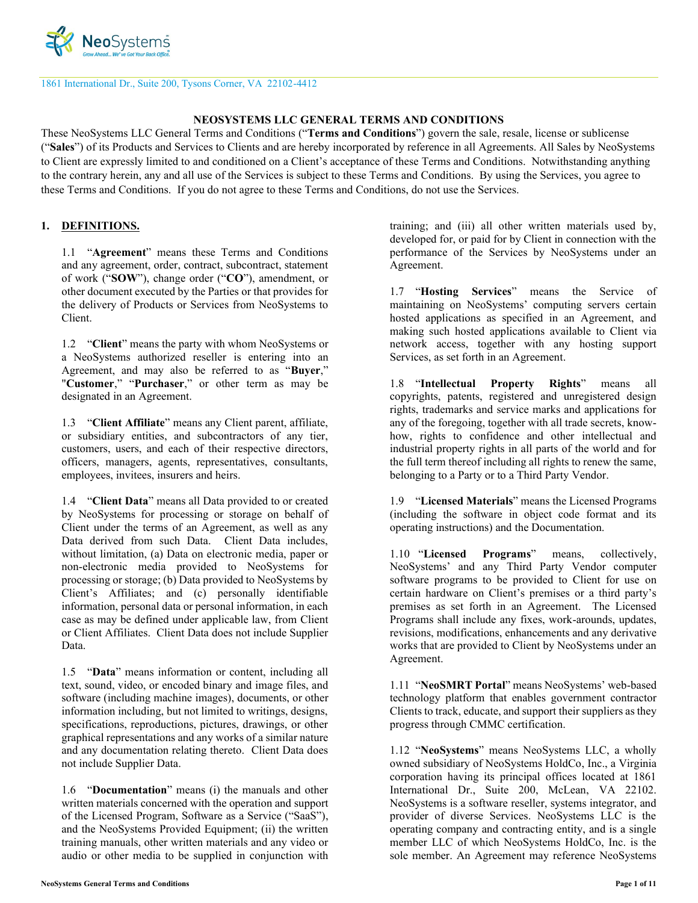

1861 International Dr., Suite 200, Tysons Corner, VA 22102-4412

#### **NEOSYSTEMS LLC GENERAL TERMS AND CONDITIONS**

These NeoSystems LLC General Terms and Conditions ("**Terms and Conditions**") govern the sale, resale, license or sublicense ("**Sales**") of its Products and Services to Clients and are hereby incorporated by reference in all Agreements. All Sales by NeoSystems to Client are expressly limited to and conditioned on a Client's acceptance of these Terms and Conditions. Notwithstanding anything to the contrary herein, any and all use of the Services is subject to these Terms and Conditions. By using the Services, you agree to these Terms and Conditions. If you do not agree to these Terms and Conditions, do not use the Services.

### **1. DEFINITIONS.**

1.1 "**Agreement**" means these Terms and Conditions and any agreement, order, contract, subcontract, statement of work ("**SOW**"), change order ("**CO**"), amendment, or other document executed by the Parties or that provides for the delivery of Products or Services from NeoSystems to Client.

1.2 "**Client**" means the party with whom NeoSystems or a NeoSystems authorized reseller is entering into an Agreement, and may also be referred to as "**Buyer**," "**Customer**," "**Purchaser**," or other term as may be designated in an Agreement.

1.3 "**Client Affiliate**" means any Client parent, affiliate, or subsidiary entities, and subcontractors of any tier, customers, users, and each of their respective directors, officers, managers, agents, representatives, consultants, employees, invitees, insurers and heirs.

1.4 "**Client Data**" means all Data provided to or created by NeoSystems for processing or storage on behalf of Client under the terms of an Agreement, as well as any Data derived from such Data. Client Data includes, without limitation, (a) Data on electronic media, paper or non-electronic media provided to NeoSystems for processing or storage; (b) Data provided to NeoSystems by Client's Affiliates; and (c) personally identifiable information, personal data or personal information, in each case as may be defined under applicable law, from Client or Client Affiliates. Client Data does not include Supplier Data.

1.5 "**Data**" means information or content, including all text, sound, video, or encoded binary and image files, and software (including machine images), documents, or other information including, but not limited to writings, designs, specifications, reproductions, pictures, drawings, or other graphical representations and any works of a similar nature and any documentation relating thereto. Client Data does not include Supplier Data.

1.6 "**Documentation**" means (i) the manuals and other written materials concerned with the operation and support of the Licensed Program, Software as a Service ("SaaS"), and the NeoSystems Provided Equipment; (ii) the written training manuals, other written materials and any video or audio or other media to be supplied in conjunction with

training; and (iii) all other written materials used by, developed for, or paid for by Client in connection with the performance of the Services by NeoSystems under an Agreement.

1.7 "**Hosting Services**" means the Service of maintaining on NeoSystems' computing servers certain hosted applications as specified in an Agreement, and making such hosted applications available to Client via network access, together with any hosting support Services, as set forth in an Agreement.

1.8 "**Intellectual Property Rights**" means all copyrights, patents, registered and unregistered design rights, trademarks and service marks and applications for any of the foregoing, together with all trade secrets, knowhow, rights to confidence and other intellectual and industrial property rights in all parts of the world and for the full term thereof including all rights to renew the same, belonging to a Party or to a Third Party Vendor.

1.9 "**Licensed Materials**" means the Licensed Programs (including the software in object code format and its operating instructions) and the Documentation.

1.10 "**Licensed Programs**" means, collectively, NeoSystems' and any Third Party Vendor computer software programs to be provided to Client for use on certain hardware on Client's premises or a third party's premises as set forth in an Agreement. The Licensed Programs shall include any fixes, work-arounds, updates, revisions, modifications, enhancements and any derivative works that are provided to Client by NeoSystems under an Agreement.

1.11 "**NeoSMRT Portal**" means NeoSystems' web-based technology platform that enables government contractor Clients to track, educate, and support their suppliers as they progress through CMMC certification.

1.12 "**NeoSystems**" means NeoSystems LLC, a wholly owned subsidiary of NeoSystems HoldCo, Inc., a Virginia corporation having its principal offices located at 1861 International Dr., Suite 200, McLean, VA 22102. NeoSystems is a software reseller, systems integrator, and provider of diverse Services. NeoSystems LLC is the operating company and contracting entity, and is a single member LLC of which NeoSystems HoldCo, Inc. is the sole member. An Agreement may reference NeoSystems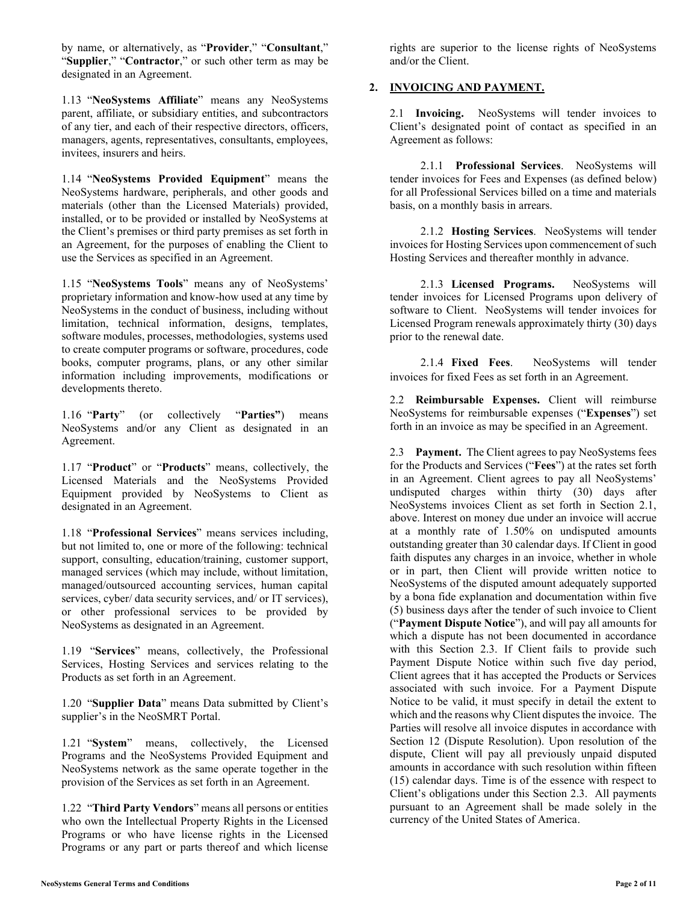by name, or alternatively, as "**Provider**," "**Consultant**," "**Supplier**," "**Contractor**," or such other term as may be designated in an Agreement.

1.13 "**NeoSystems Affiliate**" means any NeoSystems parent, affiliate, or subsidiary entities, and subcontractors of any tier, and each of their respective directors, officers, managers, agents, representatives, consultants, employees, invitees, insurers and heirs.

1.14 "**NeoSystems Provided Equipment**" means the NeoSystems hardware, peripherals, and other goods and materials (other than the Licensed Materials) provided, installed, or to be provided or installed by NeoSystems at the Client's premises or third party premises as set forth in an Agreement, for the purposes of enabling the Client to use the Services as specified in an Agreement.

1.15 "**NeoSystems Tools**" means any of NeoSystems' proprietary information and know-how used at any time by NeoSystems in the conduct of business, including without limitation, technical information, designs, templates, software modules, processes, methodologies, systems used to create computer programs or software, procedures, code books, computer programs, plans, or any other similar information including improvements, modifications or developments thereto.

1.16 "**Party**" (or collectively "**Parties"**) means NeoSystems and/or any Client as designated in an Agreement.

1.17 "**Product**" or "**Products**" means, collectively, the Licensed Materials and the NeoSystems Provided Equipment provided by NeoSystems to Client as designated in an Agreement.

1.18 "**Professional Services**" means services including, but not limited to, one or more of the following: technical support, consulting, education/training, customer support, managed services (which may include, without limitation, managed/outsourced accounting services, human capital services, cyber/ data security services, and/ or IT services), or other professional services to be provided by NeoSystems as designated in an Agreement.

1.19 "**Services**" means, collectively, the Professional Services, Hosting Services and services relating to the Products as set forth in an Agreement.

1.20 "**Supplier Data**" means Data submitted by Client's supplier's in the NeoSMRT Portal.

1.21 "**System**" means, collectively, the Licensed Programs and the NeoSystems Provided Equipment and NeoSystems network as the same operate together in the provision of the Services as set forth in an Agreement.

1.22 "**Third Party Vendors**" means all persons or entities who own the Intellectual Property Rights in the Licensed Programs or who have license rights in the Licensed Programs or any part or parts thereof and which license rights are superior to the license rights of NeoSystems and/or the Client.

## **2. INVOICING AND PAYMENT.**

2.1 **Invoicing.** NeoSystems will tender invoices to Client's designated point of contact as specified in an Agreement as follows:

2.1.1 **Professional Services**. NeoSystems will tender invoices for Fees and Expenses (as defined below) for all Professional Services billed on a time and materials basis, on a monthly basis in arrears.

2.1.2 **Hosting Services**. NeoSystems will tender invoices for Hosting Services upon commencement of such Hosting Services and thereafter monthly in advance.

2.1.3 **Licensed Programs.** NeoSystems will tender invoices for Licensed Programs upon delivery of software to Client. NeoSystems will tender invoices for Licensed Program renewals approximately thirty (30) days prior to the renewal date.

2.1.4 **Fixed Fees**. NeoSystems will tender invoices for fixed Fees as set forth in an Agreement.

2.2 **Reimbursable Expenses.** Client will reimburse NeoSystems for reimbursable expenses ("**Expenses**") set forth in an invoice as may be specified in an Agreement.

2.3 **Payment.** The Client agrees to pay NeoSystems fees for the Products and Services ("**Fees**") at the rates set forth in an Agreement. Client agrees to pay all NeoSystems' undisputed charges within thirty (30) days after NeoSystems invoices Client as set forth in Section 2.1, above. Interest on money due under an invoice will accrue at a monthly rate of 1.50% on undisputed amounts outstanding greater than 30 calendar days. If Client in good faith disputes any charges in an invoice, whether in whole or in part, then Client will provide written notice to NeoSystems of the disputed amount adequately supported by a bona fide explanation and documentation within five (5) business days after the tender of such invoice to Client ("**Payment Dispute Notice**"), and will pay all amounts for which a dispute has not been documented in accordance with this Section 2.3. If Client fails to provide such Payment Dispute Notice within such five day period, Client agrees that it has accepted the Products or Services associated with such invoice. For a Payment Dispute Notice to be valid, it must specify in detail the extent to which and the reasons why Client disputes the invoice. The Parties will resolve all invoice disputes in accordance with Section 12 (Dispute Resolution). Upon resolution of the dispute, Client will pay all previously unpaid disputed amounts in accordance with such resolution within fifteen (15) calendar days. Time is of the essence with respect to Client's obligations under this Section 2.3. All payments pursuant to an Agreement shall be made solely in the currency of the United States of America.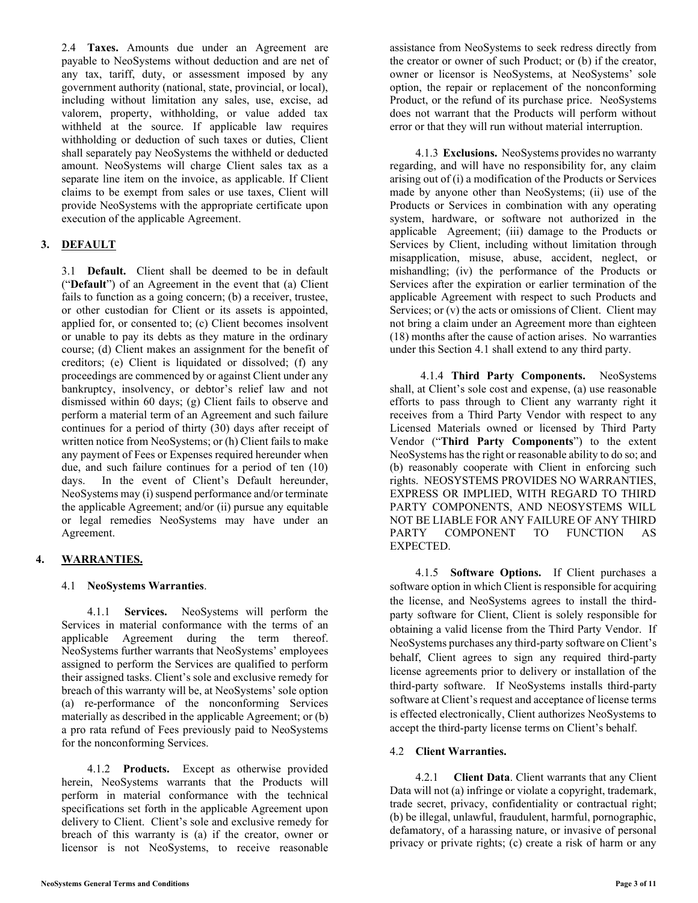2.4 **Taxes.** Amounts due under an Agreement are payable to NeoSystems without deduction and are net of any tax, tariff, duty, or assessment imposed by any government authority (national, state, provincial, or local), including without limitation any sales, use, excise, ad valorem, property, withholding, or value added tax withheld at the source. If applicable law requires withholding or deduction of such taxes or duties, Client shall separately pay NeoSystems the withheld or deducted amount. NeoSystems will charge Client sales tax as a separate line item on the invoice, as applicable. If Client claims to be exempt from sales or use taxes, Client will provide NeoSystems with the appropriate certificate upon execution of the applicable Agreement.

# **3. DEFAULT**

3.1 **Default.** Client shall be deemed to be in default ("**Default**") of an Agreement in the event that (a) Client fails to function as a going concern; (b) a receiver, trustee, or other custodian for Client or its assets is appointed, applied for, or consented to; (c) Client becomes insolvent or unable to pay its debts as they mature in the ordinary course; (d) Client makes an assignment for the benefit of creditors; (e) Client is liquidated or dissolved; (f) any proceedings are commenced by or against Client under any bankruptcy, insolvency, or debtor's relief law and not dismissed within 60 days; (g) Client fails to observe and perform a material term of an Agreement and such failure continues for a period of thirty (30) days after receipt of written notice from NeoSystems; or (h) Client fails to make any payment of Fees or Expenses required hereunder when due, and such failure continues for a period of ten (10) days. In the event of Client's Default hereunder, NeoSystems may (i) suspend performance and/or terminate the applicable Agreement; and/or (ii) pursue any equitable or legal remedies NeoSystems may have under an Agreement.

# **4. WARRANTIES.**

## 4.1 **NeoSystems Warranties**.

4.1.1 **Services.** NeoSystems will perform the Services in material conformance with the terms of an applicable Agreement during the term thereof. NeoSystems further warrants that NeoSystems' employees assigned to perform the Services are qualified to perform their assigned tasks. Client's sole and exclusive remedy for breach of this warranty will be, at NeoSystems' sole option (a) re-performance of the nonconforming Services materially as described in the applicable Agreement; or (b) a pro rata refund of Fees previously paid to NeoSystems for the nonconforming Services.

4.1.2 **Products.** Except as otherwise provided herein, NeoSystems warrants that the Products will perform in material conformance with the technical specifications set forth in the applicable Agreement upon delivery to Client. Client's sole and exclusive remedy for breach of this warranty is (a) if the creator, owner or licensor is not NeoSystems, to receive reasonable assistance from NeoSystems to seek redress directly from the creator or owner of such Product; or (b) if the creator, owner or licensor is NeoSystems, at NeoSystems' sole option, the repair or replacement of the nonconforming Product, or the refund of its purchase price. NeoSystems does not warrant that the Products will perform without error or that they will run without material interruption.

4.1.3 **Exclusions.** NeoSystems provides no warranty regarding, and will have no responsibility for, any claim arising out of (i) a modification of the Products or Services made by anyone other than NeoSystems; (ii) use of the Products or Services in combination with any operating system, hardware, or software not authorized in the applicable Agreement; (iii) damage to the Products or Services by Client, including without limitation through misapplication, misuse, abuse, accident, neglect, or mishandling; (iv) the performance of the Products or Services after the expiration or earlier termination of the applicable Agreement with respect to such Products and Services; or (v) the acts or omissions of Client. Client may not bring a claim under an Agreement more than eighteen (18) months after the cause of action arises. No warranties under this Section 4.1 shall extend to any third party.

4.1.4 **Third Party Components.** NeoSystems shall, at Client's sole cost and expense, (a) use reasonable efforts to pass through to Client any warranty right it receives from a Third Party Vendor with respect to any Licensed Materials owned or licensed by Third Party Vendor ("**Third Party Components**") to the extent NeoSystems has the right or reasonable ability to do so; and (b) reasonably cooperate with Client in enforcing such rights. NEOSYSTEMS PROVIDES NO WARRANTIES, EXPRESS OR IMPLIED, WITH REGARD TO THIRD PARTY COMPONENTS, AND NEOSYSTEMS WILL NOT BE LIABLE FOR ANY FAILURE OF ANY THIRD PARTY COMPONENT TO FUNCTION AS EXPECTED.

4.1.5 **Software Options.** If Client purchases a software option in which Client is responsible for acquiring the license, and NeoSystems agrees to install the thirdparty software for Client, Client is solely responsible for obtaining a valid license from the Third Party Vendor. If NeoSystems purchases any third-party software on Client's behalf, Client agrees to sign any required third-party license agreements prior to delivery or installation of the third-party software. If NeoSystems installs third-party software at Client's request and acceptance of license terms is effected electronically, Client authorizes NeoSystems to accept the third-party license terms on Client's behalf.

### 4.2 **Client Warranties.**

4.2.1 **Client Data**. Client warrants that any Client Data will not (a) infringe or violate a copyright, trademark, trade secret, privacy, confidentiality or contractual right; (b) be illegal, unlawful, fraudulent, harmful, pornographic, defamatory, of a harassing nature, or invasive of personal privacy or private rights; (c) create a risk of harm or any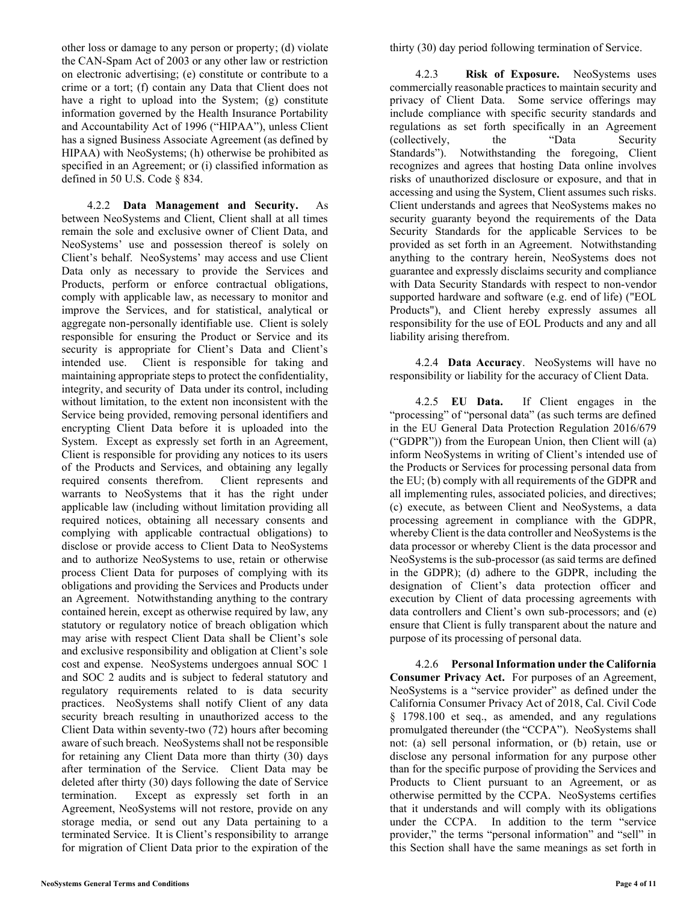other loss or damage to any person or property; (d) violate the CAN-Spam Act of 2003 or any other law or restriction on electronic advertising; (e) constitute or contribute to a crime or a tort; (f) contain any Data that Client does not have a right to upload into the System; (g) constitute information governed by the Health Insurance Portability and Accountability Act of 1996 ("HIPAA"), unless Client has a signed Business Associate Agreement (as defined by HIPAA) with NeoSystems; (h) otherwise be prohibited as specified in an Agreement; or (i) classified information as defined in 50 U.S. Code § 834.

4.2.2 **Data Management and Security.** As between NeoSystems and Client, Client shall at all times remain the sole and exclusive owner of Client Data, and NeoSystems' use and possession thereof is solely on Client's behalf. NeoSystems' may access and use Client Data only as necessary to provide the Services and Products, perform or enforce contractual obligations, comply with applicable law, as necessary to monitor and improve the Services, and for statistical, analytical or aggregate non-personally identifiable use. Client is solely responsible for ensuring the Product or Service and its security is appropriate for Client's Data and Client's intended use. Client is responsible for taking and maintaining appropriate steps to protect the confidentiality, integrity, and security of Data under its control, including without limitation, to the extent non inconsistent with the Service being provided, removing personal identifiers and encrypting Client Data before it is uploaded into the System. Except as expressly set forth in an Agreement, Client is responsible for providing any notices to its users of the Products and Services, and obtaining any legally required consents therefrom. Client represents and warrants to NeoSystems that it has the right under applicable law (including without limitation providing all required notices, obtaining all necessary consents and complying with applicable contractual obligations) to disclose or provide access to Client Data to NeoSystems and to authorize NeoSystems to use, retain or otherwise process Client Data for purposes of complying with its obligations and providing the Services and Products under an Agreement. Notwithstanding anything to the contrary contained herein, except as otherwise required by law, any statutory or regulatory notice of breach obligation which may arise with respect Client Data shall be Client's sole and exclusive responsibility and obligation at Client's sole cost and expense. NeoSystems undergoes annual SOC 1 and SOC 2 audits and is subject to federal statutory and regulatory requirements related to is data security practices. NeoSystems shall notify Client of any data security breach resulting in unauthorized access to the Client Data within seventy-two (72) hours after becoming aware of such breach. NeoSystems shall not be responsible for retaining any Client Data more than thirty (30) days after termination of the Service. Client Data may be deleted after thirty (30) days following the date of Service termination. Except as expressly set forth in an Agreement, NeoSystems will not restore, provide on any storage media, or send out any Data pertaining to a terminated Service. It is Client's responsibility to arrange for migration of Client Data prior to the expiration of the

4.2.3 **Risk of Exposure.** NeoSystems uses commercially reasonable practices to maintain security and privacy of Client Data. Some service offerings may include compliance with specific security standards and regulations as set forth specifically in an Agreement (collectively, the "Data Security Standards"). Notwithstanding the foregoing, Client recognizes and agrees that hosting Data online involves risks of unauthorized disclosure or exposure, and that in accessing and using the System, Client assumes such risks. Client understands and agrees that NeoSystems makes no security guaranty beyond the requirements of the Data Security Standards for the applicable Services to be provided as set forth in an Agreement. Notwithstanding anything to the contrary herein, NeoSystems does not guarantee and expressly disclaims security and compliance with Data Security Standards with respect to non-vendor supported hardware and software (e.g. end of life) ("EOL Products"), and Client hereby expressly assumes all responsibility for the use of EOL Products and any and all liability arising therefrom.

4.2.4 **Data Accuracy**. NeoSystems will have no responsibility or liability for the accuracy of Client Data.

4.2.5 **EU Data.** If Client engages in the "processing" of "personal data" (as such terms are defined in the EU General Data Protection Regulation 2016/679 ("GDPR")) from the European Union, then Client will (a) inform NeoSystems in writing of Client's intended use of the Products or Services for processing personal data from the EU; (b) comply with all requirements of the GDPR and all implementing rules, associated policies, and directives; (c) execute, as between Client and NeoSystems, a data processing agreement in compliance with the GDPR, whereby Client is the data controller and NeoSystems is the data processor or whereby Client is the data processor and NeoSystems is the sub-processor (as said terms are defined in the GDPR); (d) adhere to the GDPR, including the designation of Client's data protection officer and execution by Client of data processing agreements with data controllers and Client's own sub-processors; and (e) ensure that Client is fully transparent about the nature and purpose of its processing of personal data.

4.2.6 **Personal Information under the California Consumer Privacy Act.** For purposes of an Agreement, NeoSystems is a "service provider" as defined under the California Consumer Privacy Act of 2018, Cal. Civil Code § 1798.100 et seq., as amended, and any regulations promulgated thereunder (the "CCPA"). NeoSystems shall not: (a) sell personal information, or (b) retain, use or disclose any personal information for any purpose other than for the specific purpose of providing the Services and Products to Client pursuant to an Agreement, or as otherwise permitted by the CCPA. NeoSystems certifies that it understands and will comply with its obligations under the CCPA. In addition to the term "service provider," the terms "personal information" and "sell" in this Section shall have the same meanings as set forth in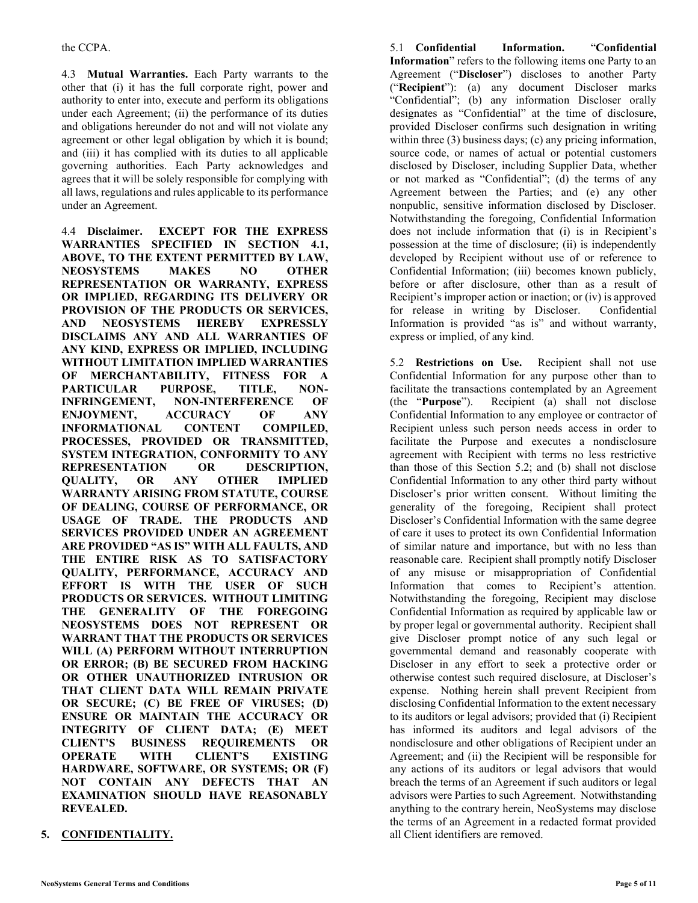4.3 **Mutual Warranties.** Each Party warrants to the other that (i) it has the full corporate right, power and authority to enter into, execute and perform its obligations under each Agreement; (ii) the performance of its duties and obligations hereunder do not and will not violate any agreement or other legal obligation by which it is bound; and (iii) it has complied with its duties to all applicable governing authorities. Each Party acknowledges and agrees that it will be solely responsible for complying with all laws, regulations and rules applicable to its performance under an Agreement.

4.4 **Disclaimer. EXCEPT FOR THE EXPRESS WARRANTIES SPECIFIED IN SECTION 4.1, ABOVE, TO THE EXTENT PERMITTED BY LAW, NEOSYSTEMS MAKES NO OTHER REPRESENTATION OR WARRANTY, EXPRESS OR IMPLIED, REGARDING ITS DELIVERY OR PROVISION OF THE PRODUCTS OR SERVICES, AND NEOSYSTEMS HEREBY EXPRESSLY DISCLAIMS ANY AND ALL WARRANTIES OF ANY KIND, EXPRESS OR IMPLIED, INCLUDING WITHOUT LIMITATION IMPLIED WARRANTIES OF MERCHANTABILITY, FITNESS FOR A PARTICULAR PURPOSE, TITLE, NON-INFRINGEMENT, NON-INTERFERENCE OF ENJOYMENT, ACCURACY OF ANY INFORMATIONAL CONTENT COMPILED, PROCESSES, PROVIDED OR TRANSMITTED, SYSTEM INTEGRATION, CONFORMITY TO ANY REPRESENTATION OR DESCRIPTION, QUALITY, OR ANY OTHER IMPLIED WARRANTY ARISING FROM STATUTE, COURSE OF DEALING, COURSE OF PERFORMANCE, OR USAGE OF TRADE. THE PRODUCTS AND SERVICES PROVIDED UNDER AN AGREEMENT ARE PROVIDED "AS IS" WITH ALL FAULTS, AND THE ENTIRE RISK AS TO SATISFACTORY QUALITY, PERFORMANCE, ACCURACY AND EFFORT IS WITH THE USER OF SUCH PRODUCTS OR SERVICES. WITHOUT LIMITING THE GENERALITY OF THE FOREGOING NEOSYSTEMS DOES NOT REPRESENT OR WARRANT THAT THE PRODUCTS OR SERVICES WILL (A) PERFORM WITHOUT INTERRUPTION OR ERROR; (B) BE SECURED FROM HACKING OR OTHER UNAUTHORIZED INTRUSION OR THAT CLIENT DATA WILL REMAIN PRIVATE OR SECURE; (C) BE FREE OF VIRUSES; (D) ENSURE OR MAINTAIN THE ACCURACY OR INTEGRITY OF CLIENT DATA; (E) MEET CLIENT'S BUSINESS REQUIREMENTS OR OPERATE WITH CLIENT'S EXISTING HARDWARE, SOFTWARE, OR SYSTEMS; OR (F) NOT CONTAIN ANY DEFECTS THAT AN EXAMINATION SHOULD HAVE REASONABLY REVEALED.** 

**5. CONFIDENTIALITY.**

5.1 **Confidential Information.** "**Confidential Information**" refers to the following items one Party to an Agreement ("**Discloser**") discloses to another Party ("**Recipient**"): (a) any document Discloser marks "Confidential"; (b) any information Discloser orally designates as "Confidential" at the time of disclosure, provided Discloser confirms such designation in writing within three (3) business days; (c) any pricing information, source code, or names of actual or potential customers disclosed by Discloser, including Supplier Data, whether or not marked as "Confidential"; (d) the terms of any Agreement between the Parties; and (e) any other nonpublic, sensitive information disclosed by Discloser. Notwithstanding the foregoing, Confidential Information does not include information that (i) is in Recipient's possession at the time of disclosure; (ii) is independently developed by Recipient without use of or reference to Confidential Information; (iii) becomes known publicly, before or after disclosure, other than as a result of Recipient's improper action or inaction; or (iv) is approved for release in writing by Discloser. Confidential Information is provided "as is" and without warranty, express or implied, of any kind.

5.2 **Restrictions on Use.** Recipient shall not use Confidential Information for any purpose other than to facilitate the transactions contemplated by an Agreement (the "**Purpose**"). Recipient (a) shall not disclose Confidential Information to any employee or contractor of Recipient unless such person needs access in order to facilitate the Purpose and executes a nondisclosure agreement with Recipient with terms no less restrictive than those of this Section 5.2; and (b) shall not disclose Confidential Information to any other third party without Discloser's prior written consent. Without limiting the generality of the foregoing, Recipient shall protect Discloser's Confidential Information with the same degree of care it uses to protect its own Confidential Information of similar nature and importance, but with no less than reasonable care. Recipient shall promptly notify Discloser of any misuse or misappropriation of Confidential Information that comes to Recipient's attention. Notwithstanding the foregoing, Recipient may disclose Confidential Information as required by applicable law or by proper legal or governmental authority. Recipient shall give Discloser prompt notice of any such legal or governmental demand and reasonably cooperate with Discloser in any effort to seek a protective order or otherwise contest such required disclosure, at Discloser's expense. Nothing herein shall prevent Recipient from disclosing Confidential Information to the extent necessary to its auditors or legal advisors; provided that (i) Recipient has informed its auditors and legal advisors of the nondisclosure and other obligations of Recipient under an Agreement; and (ii) the Recipient will be responsible for any actions of its auditors or legal advisors that would breach the terms of an Agreement if such auditors or legal advisors were Parties to such Agreement. Notwithstanding anything to the contrary herein, NeoSystems may disclose the terms of an Agreement in a redacted format provided all Client identifiers are removed.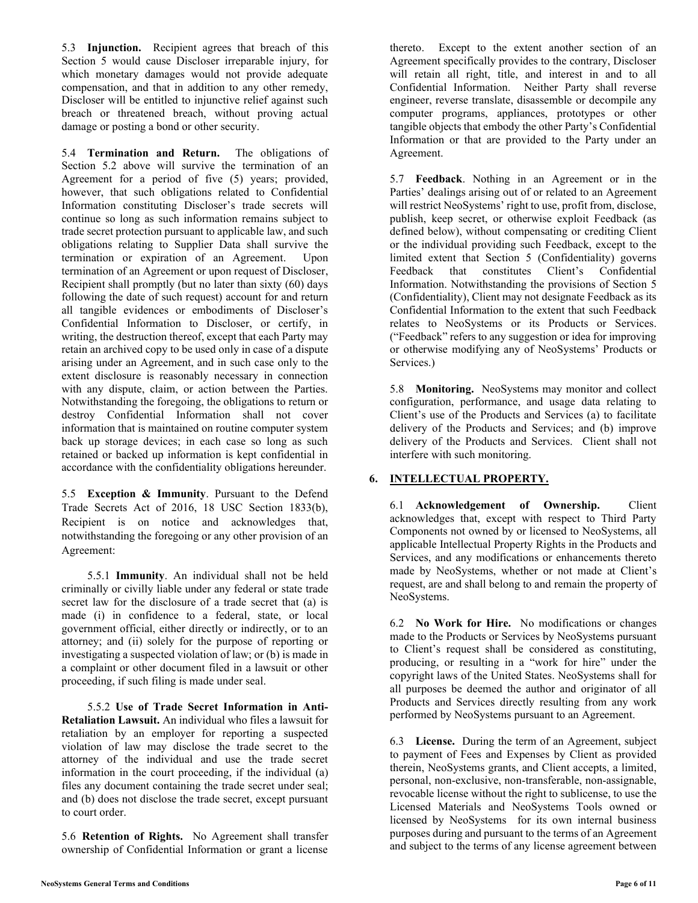5.3 **Injunction.** Recipient agrees that breach of this Section 5 would cause Discloser irreparable injury, for which monetary damages would not provide adequate compensation, and that in addition to any other remedy, Discloser will be entitled to injunctive relief against such breach or threatened breach, without proving actual damage or posting a bond or other security.

5.4 **Termination and Return.** The obligations of Section 5.2 above will survive the termination of an Agreement for a period of five (5) years; provided, however, that such obligations related to Confidential Information constituting Discloser's trade secrets will continue so long as such information remains subject to trade secret protection pursuant to applicable law, and such obligations relating to Supplier Data shall survive the termination or expiration of an Agreement. Upon termination of an Agreement or upon request of Discloser, Recipient shall promptly (but no later than sixty (60) days following the date of such request) account for and return all tangible evidences or embodiments of Discloser's Confidential Information to Discloser, or certify, in writing, the destruction thereof, except that each Party may retain an archived copy to be used only in case of a dispute arising under an Agreement, and in such case only to the extent disclosure is reasonably necessary in connection with any dispute, claim, or action between the Parties. Notwithstanding the foregoing, the obligations to return or destroy Confidential Information shall not cover information that is maintained on routine computer system back up storage devices; in each case so long as such retained or backed up information is kept confidential in accordance with the confidentiality obligations hereunder.

5.5 **Exception & Immunity**. Pursuant to the Defend Trade Secrets Act of 2016, 18 USC Section 1833(b), Recipient is on notice and acknowledges that, notwithstanding the foregoing or any other provision of an Agreement:

5.5.1 **Immunity**. An individual shall not be held criminally or civilly liable under any federal or state trade secret law for the disclosure of a trade secret that (a) is made (i) in confidence to a federal, state, or local government official, either directly or indirectly, or to an attorney; and (ii) solely for the purpose of reporting or investigating a suspected violation of law; or (b) is made in a complaint or other document filed in a lawsuit or other proceeding, if such filing is made under seal.

5.5.2 **Use of Trade Secret Information in Anti-Retaliation Lawsuit.** An individual who files a lawsuit for retaliation by an employer for reporting a suspected violation of law may disclose the trade secret to the attorney of the individual and use the trade secret information in the court proceeding, if the individual (a) files any document containing the trade secret under seal; and (b) does not disclose the trade secret, except pursuant to court order.

5.6 **Retention of Rights.** No Agreement shall transfer ownership of Confidential Information or grant a license

thereto. Except to the extent another section of an Agreement specifically provides to the contrary, Discloser will retain all right, title, and interest in and to all Confidential Information. Neither Party shall reverse engineer, reverse translate, disassemble or decompile any computer programs, appliances, prototypes or other tangible objects that embody the other Party's Confidential Information or that are provided to the Party under an Agreement.

5.7 **Feedback**. Nothing in an Agreement or in the Parties' dealings arising out of or related to an Agreement will restrict NeoSystems' right to use, profit from, disclose, publish, keep secret, or otherwise exploit Feedback (as defined below), without compensating or crediting Client or the individual providing such Feedback, except to the limited extent that Section 5 (Confidentiality) governs Feedback that constitutes Client's Confidential Information. Notwithstanding the provisions of Section 5 (Confidentiality), Client may not designate Feedback as its Confidential Information to the extent that such Feedback relates to NeoSystems or its Products or Services. ("Feedback" refers to any suggestion or idea for improving or otherwise modifying any of NeoSystems' Products or Services.)

5.8 **Monitoring.** NeoSystems may monitor and collect configuration, performance, and usage data relating to Client's use of the Products and Services (a) to facilitate delivery of the Products and Services; and (b) improve delivery of the Products and Services. Client shall not interfere with such monitoring.

# **6. INTELLECTUAL PROPERTY.**

6.1 **Acknowledgement of Ownership.** Client acknowledges that, except with respect to Third Party Components not owned by or licensed to NeoSystems, all applicable Intellectual Property Rights in the Products and Services, and any modifications or enhancements thereto made by NeoSystems, whether or not made at Client's request, are and shall belong to and remain the property of NeoSystems.

6.2 **No Work for Hire.** No modifications or changes made to the Products or Services by NeoSystems pursuant to Client's request shall be considered as constituting, producing, or resulting in a "work for hire" under the copyright laws of the United States. NeoSystems shall for all purposes be deemed the author and originator of all Products and Services directly resulting from any work performed by NeoSystems pursuant to an Agreement.

6.3 **License.** During the term of an Agreement, subject to payment of Fees and Expenses by Client as provided therein, NeoSystems grants, and Client accepts, a limited, personal, non-exclusive, non-transferable, non-assignable, revocable license without the right to sublicense, to use the Licensed Materials and NeoSystems Tools owned or licensed by NeoSystems for its own internal business purposes during and pursuant to the terms of an Agreement and subject to the terms of any license agreement between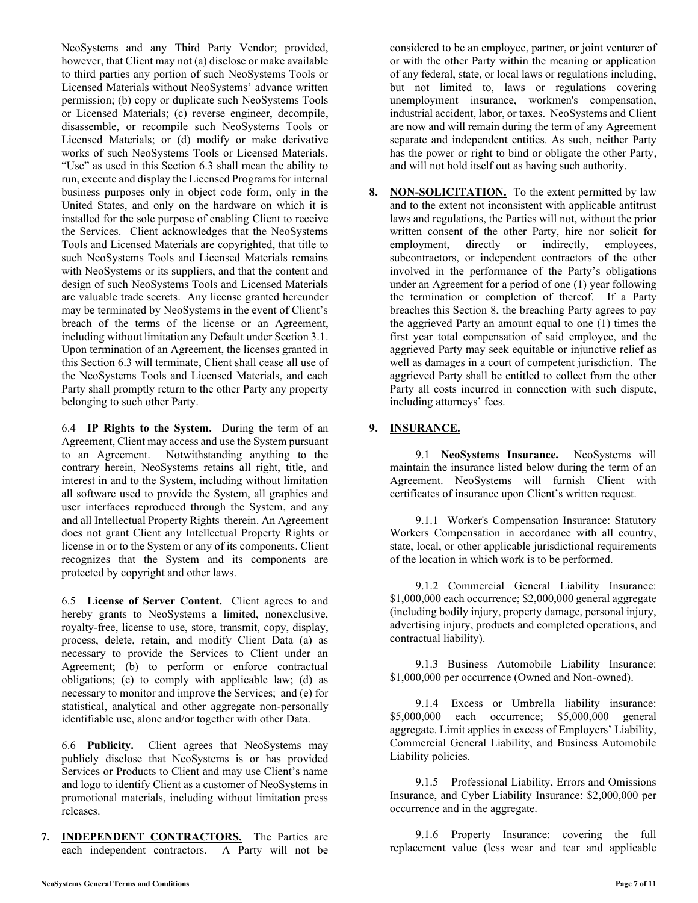NeoSystems and any Third Party Vendor; provided, however, that Client may not (a) disclose or make available to third parties any portion of such NeoSystems Tools or Licensed Materials without NeoSystems' advance written permission; (b) copy or duplicate such NeoSystems Tools or Licensed Materials; (c) reverse engineer, decompile, disassemble, or recompile such NeoSystems Tools or Licensed Materials; or (d) modify or make derivative works of such NeoSystems Tools or Licensed Materials. "Use" as used in this Section 6.3 shall mean the ability to run, execute and display the Licensed Programs for internal business purposes only in object code form, only in the United States, and only on the hardware on which it is installed for the sole purpose of enabling Client to receive the Services. Client acknowledges that the NeoSystems Tools and Licensed Materials are copyrighted, that title to such NeoSystems Tools and Licensed Materials remains with NeoSystems or its suppliers, and that the content and design of such NeoSystems Tools and Licensed Materials are valuable trade secrets. Any license granted hereunder may be terminated by NeoSystems in the event of Client's breach of the terms of the license or an Agreement, including without limitation any Default under Section 3.1. Upon termination of an Agreement, the licenses granted in this Section 6.3 will terminate, Client shall cease all use of the NeoSystems Tools and Licensed Materials, and each Party shall promptly return to the other Party any property belonging to such other Party.

6.4 **IP Rights to the System.** During the term of an Agreement, Client may access and use the System pursuant to an Agreement. Notwithstanding anything to the contrary herein, NeoSystems retains all right, title, and interest in and to the System, including without limitation all software used to provide the System, all graphics and user interfaces reproduced through the System, and any and all Intellectual Property Rights therein. An Agreement does not grant Client any Intellectual Property Rights or license in or to the System or any of its components. Client recognizes that the System and its components are protected by copyright and other laws.

6.5 **License of Server Content.** Client agrees to and hereby grants to NeoSystems a limited, nonexclusive, royalty-free, license to use, store, transmit, copy, display, process, delete, retain, and modify Client Data (a) as necessary to provide the Services to Client under an Agreement; (b) to perform or enforce contractual obligations; (c) to comply with applicable law; (d) as necessary to monitor and improve the Services; and (e) for statistical, analytical and other aggregate non-personally identifiable use, alone and/or together with other Data.

6.6 **Publicity.** Client agrees that NeoSystems may publicly disclose that NeoSystems is or has provided Services or Products to Client and may use Client's name and logo to identify Client as a customer of NeoSystems in promotional materials, including without limitation press releases.

**7. INDEPENDENT CONTRACTORS.** The Parties are each independent contractors. A Party will not be considered to be an employee, partner, or joint venturer of or with the other Party within the meaning or application of any federal, state, or local laws or regulations including, but not limited to, laws or regulations covering unemployment insurance, workmen's compensation, industrial accident, labor, or taxes. NeoSystems and Client are now and will remain during the term of any Agreement separate and independent entities. As such, neither Party has the power or right to bind or obligate the other Party, and will not hold itself out as having such authority.

**8. NON-SOLICITATION.** To the extent permitted by law and to the extent not inconsistent with applicable antitrust laws and regulations, the Parties will not, without the prior written consent of the other Party, hire nor solicit for employment, directly or indirectly, employees, subcontractors, or independent contractors of the other involved in the performance of the Party's obligations under an Agreement for a period of one (1) year following the termination or completion of thereof. If a Party breaches this Section 8, the breaching Party agrees to pay the aggrieved Party an amount equal to one (1) times the first year total compensation of said employee, and the aggrieved Party may seek equitable or injunctive relief as well as damages in a court of competent jurisdiction. The aggrieved Party shall be entitled to collect from the other Party all costs incurred in connection with such dispute, including attorneys' fees.

# **9. INSURANCE.**

9.1 **NeoSystems Insurance.** NeoSystems will maintain the insurance listed below during the term of an Agreement. NeoSystems will furnish Client with certificates of insurance upon Client's written request.

9.1.1 Worker's Compensation Insurance: Statutory Workers Compensation in accordance with all country, state, local, or other applicable jurisdictional requirements of the location in which work is to be performed.

9.1.2 Commercial General Liability Insurance: \$1,000,000 each occurrence; \$2,000,000 general aggregate (including bodily injury, property damage, personal injury, advertising injury, products and completed operations, and contractual liability).

9.1.3 Business Automobile Liability Insurance: \$1,000,000 per occurrence (Owned and Non-owned).

9.1.4 Excess or Umbrella liability insurance: \$5,000,000 each occurrence; \$5,000,000 general aggregate. Limit applies in excess of Employers' Liability, Commercial General Liability, and Business Automobile Liability policies.

9.1.5 Professional Liability, Errors and Omissions Insurance, and Cyber Liability Insurance: \$2,000,000 per occurrence and in the aggregate.

9.1.6 Property Insurance: covering the full replacement value (less wear and tear and applicable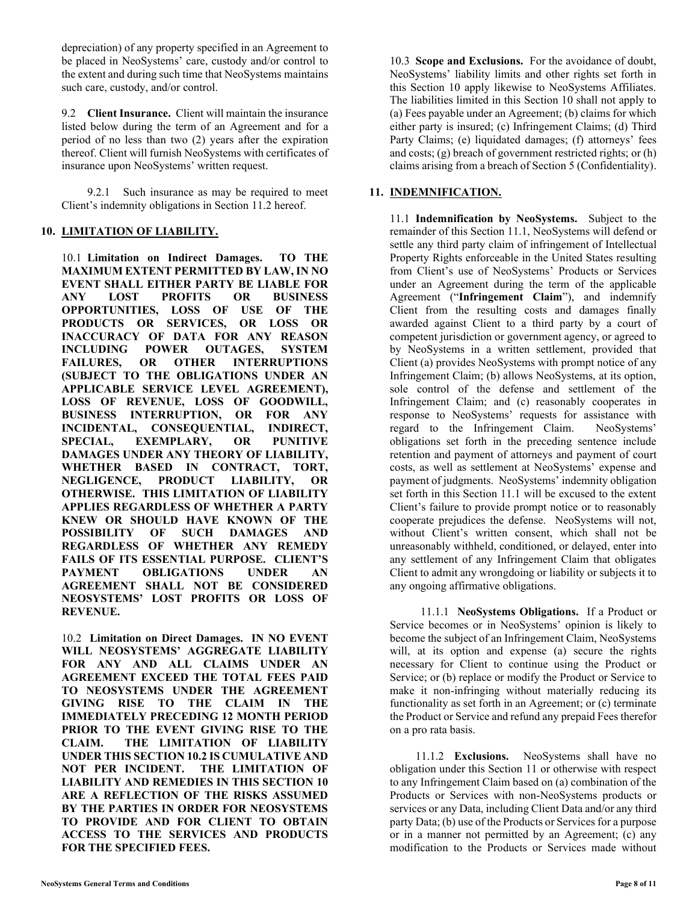depreciation) of any property specified in an Agreement to be placed in NeoSystems' care, custody and/or control to the extent and during such time that NeoSystems maintains such care, custody, and/or control.

9.2 **Client Insurance.** Client will maintain the insurance listed below during the term of an Agreement and for a period of no less than two (2) years after the expiration thereof. Client will furnish NeoSystems with certificates of insurance upon NeoSystems' written request.

9.2.1 Such insurance as may be required to meet Client's indemnity obligations in Section 11.2 hereof.

## **10. LIMITATION OF LIABILITY.**

10.1 **Limitation on Indirect Damages. TO THE MAXIMUM EXTENT PERMITTED BY LAW, IN NO EVENT SHALL EITHER PARTY BE LIABLE FOR ANY LOST PROFITS OR BUSINESS OPPORTUNITIES, LOSS OF USE OF THE PRODUCTS OR SERVICES, OR LOSS OR INACCURACY OF DATA FOR ANY REASON INCLUDING POWER OUTAGES, SYSTEM FAILURES, OR OTHER INTERRUPTIONS (SUBJECT TO THE OBLIGATIONS UNDER AN APPLICABLE SERVICE LEVEL AGREEMENT), LOSS OF REVENUE, LOSS OF GOODWILL, BUSINESS INTERRUPTION, OR FOR ANY INCIDENTAL, CONSEQUENTIAL, INDIRECT, SPECIAL, EXEMPLARY, OR PUNITIVE DAMAGES UNDER ANY THEORY OF LIABILITY, WHETHER BASED IN CONTRACT, TORT, NEGLIGENCE, PRODUCT LIABILITY, OR OTHERWISE. THIS LIMITATION OF LIABILITY APPLIES REGARDLESS OF WHETHER A PARTY KNEW OR SHOULD HAVE KNOWN OF THE POSSIBILITY OF SUCH DAMAGES AND REGARDLESS OF WHETHER ANY REMEDY FAILS OF ITS ESSENTIAL PURPOSE. CLIENT'S PAYMENT OBLIGATIONS UNDER AN AGREEMENT SHALL NOT BE CONSIDERED NEOSYSTEMS' LOST PROFITS OR LOSS OF REVENUE.**

10.2 **Limitation on Direct Damages. IN NO EVENT WILL NEOSYSTEMS' AGGREGATE LIABILITY FOR ANY AND ALL CLAIMS UNDER AN AGREEMENT EXCEED THE TOTAL FEES PAID TO NEOSYSTEMS UNDER THE AGREEMENT GIVING RISE TO THE CLAIM IN THE IMMEDIATELY PRECEDING 12 MONTH PERIOD PRIOR TO THE EVENT GIVING RISE TO THE CLAIM. THE LIMITATION OF LIABILITY UNDER THIS SECTION 10.2 IS CUMULATIVE AND NOT PER INCIDENT. THE LIMITATION OF LIABILITY AND REMEDIES IN THIS SECTION 10 ARE A REFLECTION OF THE RISKS ASSUMED BY THE PARTIES IN ORDER FOR NEOSYSTEMS TO PROVIDE AND FOR CLIENT TO OBTAIN ACCESS TO THE SERVICES AND PRODUCTS FOR THE SPECIFIED FEES.**

10.3 **Scope and Exclusions.** For the avoidance of doubt, NeoSystems' liability limits and other rights set forth in this Section 10 apply likewise to NeoSystems Affiliates. The liabilities limited in this Section 10 shall not apply to (a) Fees payable under an Agreement; (b) claims for which either party is insured; (c) Infringement Claims; (d) Third Party Claims; (e) liquidated damages; (f) attorneys' fees and costs; (g) breach of government restricted rights; or (h) claims arising from a breach of Section 5 (Confidentiality).

## **11. INDEMNIFICATION.**

11.1 **Indemnification by NeoSystems.** Subject to the remainder of this Section 11.1, NeoSystems will defend or settle any third party claim of infringement of Intellectual Property Rights enforceable in the United States resulting from Client's use of NeoSystems' Products or Services under an Agreement during the term of the applicable Agreement ("**Infringement Claim**"), and indemnify Client from the resulting costs and damages finally awarded against Client to a third party by a court of competent jurisdiction or government agency, or agreed to by NeoSystems in a written settlement, provided that Client (a) provides NeoSystems with prompt notice of any Infringement Claim; (b) allows NeoSystems, at its option, sole control of the defense and settlement of the Infringement Claim; and (c) reasonably cooperates in response to NeoSystems' requests for assistance with regard to the Infringement Claim. NeoSystems' obligations set forth in the preceding sentence include retention and payment of attorneys and payment of court costs, as well as settlement at NeoSystems' expense and payment of judgments. NeoSystems' indemnity obligation set forth in this Section 11.1 will be excused to the extent Client's failure to provide prompt notice or to reasonably cooperate prejudices the defense. NeoSystems will not, without Client's written consent, which shall not be unreasonably withheld, conditioned, or delayed, enter into any settlement of any Infringement Claim that obligates Client to admit any wrongdoing or liability or subjects it to any ongoing affirmative obligations.

11.1.1 **NeoSystems Obligations.** If a Product or Service becomes or in NeoSystems' opinion is likely to become the subject of an Infringement Claim, NeoSystems will, at its option and expense (a) secure the rights necessary for Client to continue using the Product or Service; or (b) replace or modify the Product or Service to make it non-infringing without materially reducing its functionality as set forth in an Agreement; or (c) terminate the Product or Service and refund any prepaid Fees therefor on a pro rata basis.

11.1.2 **Exclusions.** NeoSystems shall have no obligation under this Section 11 or otherwise with respect to any Infringement Claim based on (a) combination of the Products or Services with non-NeoSystems products or services or any Data, including Client Data and/or any third party Data; (b) use of the Products or Services for a purpose or in a manner not permitted by an Agreement; (c) any modification to the Products or Services made without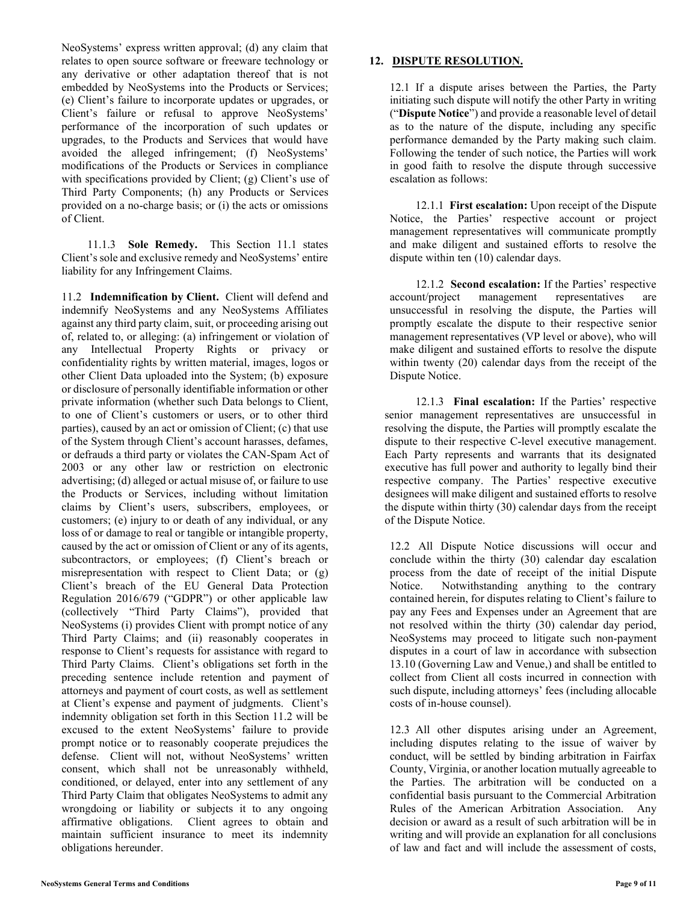NeoSystems' express written approval; (d) any claim that relates to open source software or freeware technology or any derivative or other adaptation thereof that is not embedded by NeoSystems into the Products or Services; (e) Client's failure to incorporate updates or upgrades, or Client's failure or refusal to approve NeoSystems' performance of the incorporation of such updates or upgrades, to the Products and Services that would have avoided the alleged infringement; (f) NeoSystems' modifications of the Products or Services in compliance with specifications provided by Client; (g) Client's use of Third Party Components; (h) any Products or Services provided on a no-charge basis; or (i) the acts or omissions of Client.

11.1.3 **Sole Remedy.** This Section 11.1 states Client's sole and exclusive remedy and NeoSystems' entire liability for any Infringement Claims.

11.2 **Indemnification by Client.** Client will defend and indemnify NeoSystems and any NeoSystems Affiliates against any third party claim, suit, or proceeding arising out of, related to, or alleging: (a) infringement or violation of any Intellectual Property Rights or privacy or confidentiality rights by written material, images, logos or other Client Data uploaded into the System; (b) exposure or disclosure of personally identifiable information or other private information (whether such Data belongs to Client, to one of Client's customers or users, or to other third parties), caused by an act or omission of Client; (c) that use of the System through Client's account harasses, defames, or defrauds a third party or violates the CAN-Spam Act of 2003 or any other law or restriction on electronic advertising; (d) alleged or actual misuse of, or failure to use the Products or Services, including without limitation claims by Client's users, subscribers, employees, or customers; (e) injury to or death of any individual, or any loss of or damage to real or tangible or intangible property, caused by the act or omission of Client or any of its agents, subcontractors, or employees; (f) Client's breach or misrepresentation with respect to Client Data; or (g) Client's breach of the EU General Data Protection Regulation 2016/679 ("GDPR") or other applicable law (collectively "Third Party Claims"), provided that NeoSystems (i) provides Client with prompt notice of any Third Party Claims; and (ii) reasonably cooperates in response to Client's requests for assistance with regard to Third Party Claims. Client's obligations set forth in the preceding sentence include retention and payment of attorneys and payment of court costs, as well as settlement at Client's expense and payment of judgments. Client's indemnity obligation set forth in this Section 11.2 will be excused to the extent NeoSystems' failure to provide prompt notice or to reasonably cooperate prejudices the defense. Client will not, without NeoSystems' written consent, which shall not be unreasonably withheld, conditioned, or delayed, enter into any settlement of any Third Party Claim that obligates NeoSystems to admit any wrongdoing or liability or subjects it to any ongoing affirmative obligations. Client agrees to obtain and maintain sufficient insurance to meet its indemnity obligations hereunder.

## **12. DISPUTE RESOLUTION.**

12.1 If a dispute arises between the Parties, the Party initiating such dispute will notify the other Party in writing ("**Dispute Notice**") and provide a reasonable level of detail as to the nature of the dispute, including any specific performance demanded by the Party making such claim. Following the tender of such notice, the Parties will work in good faith to resolve the dispute through successive escalation as follows:

12.1.1 **First escalation:** Upon receipt of the Dispute Notice, the Parties' respective account or project management representatives will communicate promptly and make diligent and sustained efforts to resolve the dispute within ten (10) calendar days.

12.1.2 **Second escalation:** If the Parties' respective account/project management representatives are unsuccessful in resolving the dispute, the Parties will promptly escalate the dispute to their respective senior management representatives (VP level or above), who will make diligent and sustained efforts to resolve the dispute within twenty (20) calendar days from the receipt of the Dispute Notice.

12.1.3 **Final escalation:** If the Parties' respective senior management representatives are unsuccessful in resolving the dispute, the Parties will promptly escalate the dispute to their respective C-level executive management. Each Party represents and warrants that its designated executive has full power and authority to legally bind their respective company. The Parties' respective executive designees will make diligent and sustained efforts to resolve the dispute within thirty (30) calendar days from the receipt of the Dispute Notice.

12.2 All Dispute Notice discussions will occur and conclude within the thirty (30) calendar day escalation process from the date of receipt of the initial Dispute Notice. Notwithstanding anything to the contrary contained herein, for disputes relating to Client's failure to pay any Fees and Expenses under an Agreement that are not resolved within the thirty (30) calendar day period, NeoSystems may proceed to litigate such non-payment disputes in a court of law in accordance with subsection 13.10 (Governing Law and Venue,) and shall be entitled to collect from Client all costs incurred in connection with such dispute, including attorneys' fees (including allocable costs of in-house counsel).

12.3 All other disputes arising under an Agreement, including disputes relating to the issue of waiver by conduct, will be settled by binding arbitration in Fairfax County, Virginia, or another location mutually agreeable to the Parties. The arbitration will be conducted on a confidential basis pursuant to the Commercial Arbitration Rules of the American Arbitration Association. Any decision or award as a result of such arbitration will be in writing and will provide an explanation for all conclusions of law and fact and will include the assessment of costs,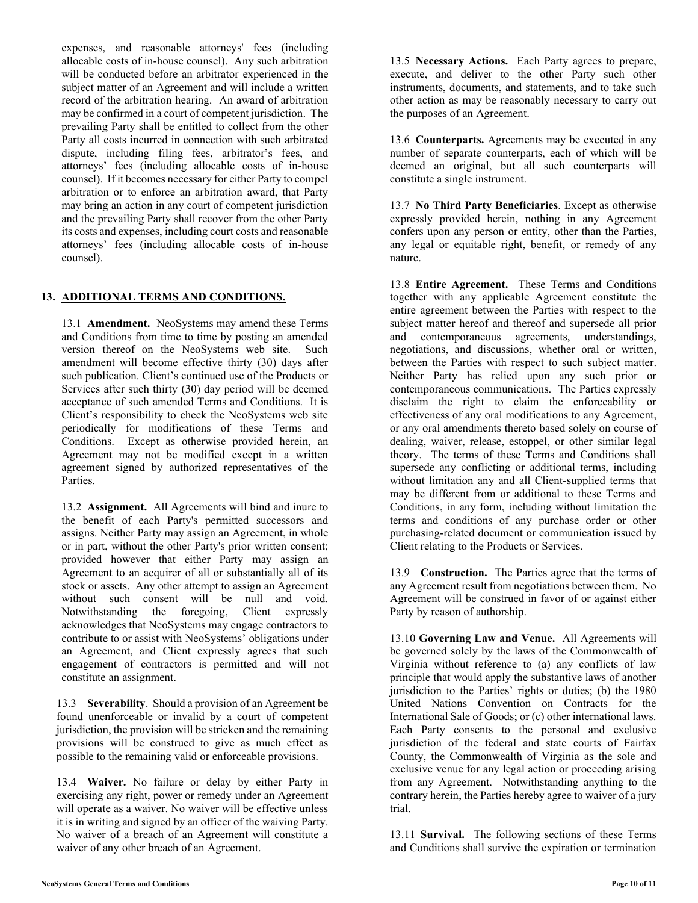expenses, and reasonable attorneys' fees (including allocable costs of in-house counsel). Any such arbitration will be conducted before an arbitrator experienced in the subject matter of an Agreement and will include a written record of the arbitration hearing. An award of arbitration may be confirmed in a court of competent jurisdiction. The prevailing Party shall be entitled to collect from the other Party all costs incurred in connection with such arbitrated dispute, including filing fees, arbitrator's fees, and attorneys' fees (including allocable costs of in-house counsel). If it becomes necessary for either Party to compel arbitration or to enforce an arbitration award, that Party may bring an action in any court of competent jurisdiction and the prevailing Party shall recover from the other Party its costs and expenses, including court costs and reasonable attorneys' fees (including allocable costs of in-house counsel).

# **13. ADDITIONAL TERMS AND CONDITIONS.**

13.1 **Amendment.** NeoSystems may amend these Terms and Conditions from time to time by posting an amended version thereof on the NeoSystems web site. Such amendment will become effective thirty (30) days after such publication. Client's continued use of the Products or Services after such thirty (30) day period will be deemed acceptance of such amended Terms and Conditions. It is Client's responsibility to check the NeoSystems web site periodically for modifications of these Terms and Conditions. Except as otherwise provided herein, an Agreement may not be modified except in a written agreement signed by authorized representatives of the Parties.

13.2 **Assignment.** All Agreements will bind and inure to the benefit of each Party's permitted successors and assigns. Neither Party may assign an Agreement, in whole or in part, without the other Party's prior written consent; provided however that either Party may assign an Agreement to an acquirer of all or substantially all of its stock or assets. Any other attempt to assign an Agreement without such consent will be null and void. Notwithstanding the foregoing, Client expressly acknowledges that NeoSystems may engage contractors to contribute to or assist with NeoSystems' obligations under an Agreement, and Client expressly agrees that such engagement of contractors is permitted and will not constitute an assignment.

13.3 **Severability**. Should a provision of an Agreement be found unenforceable or invalid by a court of competent jurisdiction, the provision will be stricken and the remaining provisions will be construed to give as much effect as possible to the remaining valid or enforceable provisions.

13.4 **Waiver.** No failure or delay by either Party in exercising any right, power or remedy under an Agreement will operate as a waiver. No waiver will be effective unless it is in writing and signed by an officer of the waiving Party. No waiver of a breach of an Agreement will constitute a waiver of any other breach of an Agreement.

13.5 **Necessary Actions.** Each Party agrees to prepare, execute, and deliver to the other Party such other instruments, documents, and statements, and to take such other action as may be reasonably necessary to carry out the purposes of an Agreement.

13.6 **Counterparts.** Agreements may be executed in any number of separate counterparts, each of which will be deemed an original, but all such counterparts will constitute a single instrument.

13.7 **No Third Party Beneficiaries**. Except as otherwise expressly provided herein, nothing in any Agreement confers upon any person or entity, other than the Parties, any legal or equitable right, benefit, or remedy of any nature.

13.8 **Entire Agreement.** These Terms and Conditions together with any applicable Agreement constitute the entire agreement between the Parties with respect to the subject matter hereof and thereof and supersede all prior and contemporaneous agreements, understandings, negotiations, and discussions, whether oral or written, between the Parties with respect to such subject matter. Neither Party has relied upon any such prior or contemporaneous communications. The Parties expressly disclaim the right to claim the enforceability or effectiveness of any oral modifications to any Agreement, or any oral amendments thereto based solely on course of dealing, waiver, release, estoppel, or other similar legal theory. The terms of these Terms and Conditions shall supersede any conflicting or additional terms, including without limitation any and all Client-supplied terms that may be different from or additional to these Terms and Conditions, in any form, including without limitation the terms and conditions of any purchase order or other purchasing-related document or communication issued by Client relating to the Products or Services.

13.9 **Construction.** The Parties agree that the terms of any Agreement result from negotiations between them. No Agreement will be construed in favor of or against either Party by reason of authorship.

13.10 **Governing Law and Venue.** All Agreements will be governed solely by the laws of the Commonwealth of Virginia without reference to (a) any conflicts of law principle that would apply the substantive laws of another jurisdiction to the Parties' rights or duties; (b) the 1980 United Nations Convention on Contracts for the International Sale of Goods; or (c) other international laws. Each Party consents to the personal and exclusive jurisdiction of the federal and state courts of Fairfax County, the Commonwealth of Virginia as the sole and exclusive venue for any legal action or proceeding arising from any Agreement. Notwithstanding anything to the contrary herein, the Parties hereby agree to waiver of a jury trial.

13.11 **Survival.** The following sections of these Terms and Conditions shall survive the expiration or termination